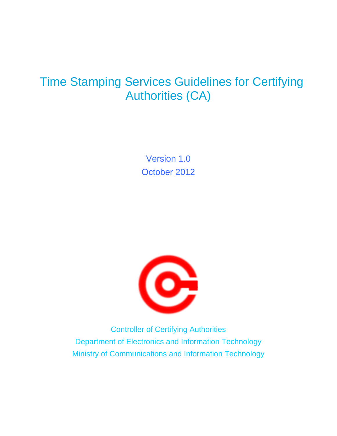# Time Stamping Services Guidelines for Certifying Authorities (CA)

Version 1.0 October 2012



Controller of Certifying Authorities Department of Electronics and Information Technology Ministry of Communications and Information Technology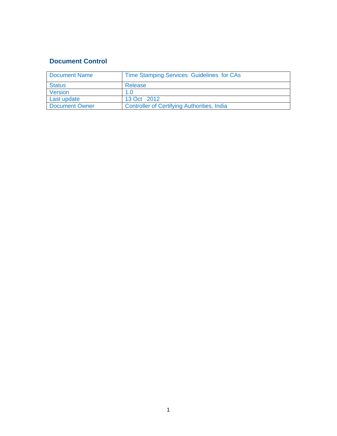## **Document Control**

| <b>Document Name</b>  | Time Stamping Services Guidelines for CAs          |
|-----------------------|----------------------------------------------------|
| <b>Status</b>         | Release                                            |
| Version               | 1.0                                                |
| Last update           | 13 Oct 2012                                        |
| <b>Document Owner</b> | <b>Controller of Certifying Authorities, India</b> |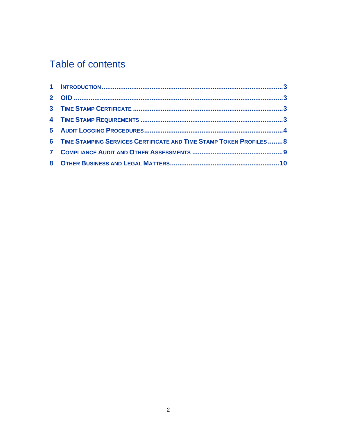# Table of contents

| 6 TIME STAMPING SERVICES CERTIFICATE AND TIME STAMP TOKEN PROFILES8 |  |
|---------------------------------------------------------------------|--|
|                                                                     |  |
|                                                                     |  |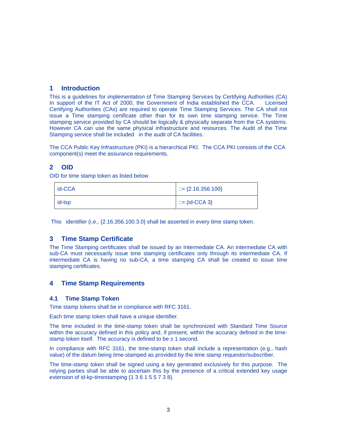## **1 Introduction**

This is a guidelines for implementation of Time Stamping Services by Certifying Authorities (CA) In support of the IT Act of 2000, the Government of India established the CCA. Licensed Certifying Authorities (CAs) are required to operate Time Stamping Services. The CA shall not issue a Time stamping certificate other than for its own time stamping service. The Time stamping service provided by CA should be logically & physically separate from the CA systems. However CA can use the same physical infrastructure and resources. The Audit of the Time Stamping service shall be included in the audit of CA facilities.

The CCA Public Key Infrastructure (PKI) is a hierarchical PKI. The CCA PKI consists of the CCA component(s) meet the assurance requirements.

## **2 OID**

OID for time stamp token as listed below

| id-CCA | $\therefore$ = {2.16.356.100} |
|--------|-------------------------------|
| id-tsp | $\mathbb{R}$ = (id-CCA 3)     |

This identifier (i.e., {2.16.356.100.3.0} shall be asserted in every time stamp token.

## **3 Time Stamp Certificate**

The Time Stamping certificates shall be issued by an Intermediate CA. An intermediate CA with sub-CA must necessarily issue time stamping certificates only through its intermediate CA. If intermediate CA is having no sub-CA, a time stamping CA shall be created to issue time stamping certificates.

## **4 Time Stamp Requirements**

### **4.1 Time Stamp Token**

Time stamp tokens shall be in compliance with RFC 3161.

Each time stamp token shall have a unique identifier.

The time included in the time-stamp token shall be synchronized with Standard Time Source within the accuracy defined in this policy and, if present, within the accuracy defined in the timestamp token itself. The accuracy is defined to be  $\pm$  1 second.

In compliance with RFC 3161, the time-stamp token shall include a representation (e.g., hash value) of the datum being time-stamped as provided by the time stamp requestor/subscriber.

The time-stamp token shall be signed using a key generated exclusively for this purpose. The relying parties shall be able to ascertain this by the presence of a critical extended key usage extension of id-kp-timestamping {1 3 6 1 5 5 7 3 8}.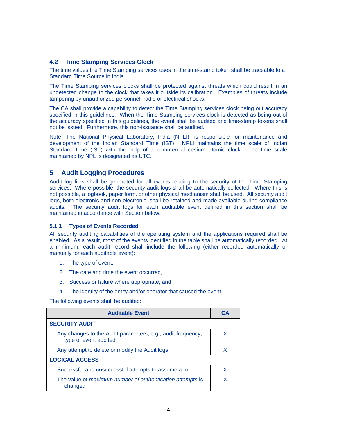## **4.2 Time Stamping Services Clock**

The time values the Time Stamping services uses in the time-stamp token shall be traceable to a Standard Time Source in India.

The Time Stamping services clocks shall be protected against threats which could result in an undetected change to the clock that takes it outside its calibration. Examples of threats include tampering by unauthorized personnel, radio or electrical shocks.

The CA shall provide a capability to detect the Time Stamping services clock being out accuracy specified in this guidelines. When the Time Stamping services clock is detected as being out of the accuracy specified in this guidelines, the event shall be audited and time-stamp tokens shall not be issued. Furthermore, this non-issuance shall be audited.

Note: The National Physical Laboratory, India (NPLI), is responsible for maintenance and development of the Indian Standard Time (IST) . NPLI maintains the time scale of Indian Standard Time (IST) with the help of a commercial cesium atomic clock. The time scale maintained by NPL is designated as UTC.

## **5 Audit Logging Procedures**

Audit log files shall be generated for all events relating to the security of the Time Stamping services. Where possible, the security audit logs shall be automatically collected. Where this is not possible, a logbook, paper form, or other physical mechanism shall be used. All security audit logs, both electronic and non-electronic, shall be retained and made available during compliance audits. The security audit logs for each auditable event defined in this section shall be maintained in accordance with Section below.

### **5.1.1 Types of Events Recorded**

All security auditing capabilities of the operating system and the applications required shall be enabled. As a result, most of the events identified in the table shall be automatically recorded. At a minimum, each audit record shall include the following (either recorded automatically or manually for each auditable event):

- 1. The type of event,
- 2. The date and time the event occurred,
- 3. Success or failure where appropriate, and
- 4. The identity of the entity and/or operator that caused the event.

The following events shall be audited:

| <b>Auditable Event</b>                                                               | CА |
|--------------------------------------------------------------------------------------|----|
| <b>SECURITY AUDIT</b>                                                                |    |
| Any changes to the Audit parameters, e.g., audit frequency,<br>type of event audited | X  |
| Any attempt to delete or modify the Audit logs                                       | x  |
| <b>LOGICAL ACCESS</b>                                                                |    |
| Successful and unsuccessful attempts to assume a role                                | X  |
| The value of maximum number of authentication attempts is<br>changed                 |    |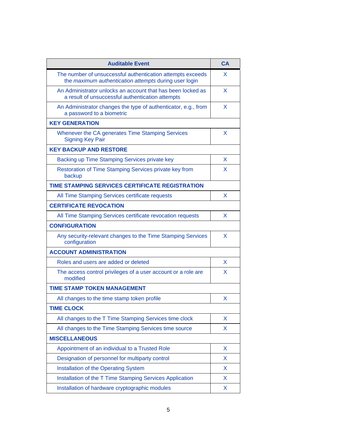| <b>Auditable Event</b>                                                                                              | CA |
|---------------------------------------------------------------------------------------------------------------------|----|
| The number of unsuccessful authentication attempts exceeds<br>the maximum authentication attempts during user login | X. |
| An Administrator unlocks an account that has been locked as<br>a result of unsuccessful authentication attempts     | x  |
| An Administrator changes the type of authenticator, e.g., from<br>a password to a biometric                         | X  |
| <b>KEY GENERATION</b>                                                                                               |    |
| Whenever the CA generates Time Stamping Services<br><b>Signing Key Pair</b>                                         | X  |
| <b>KEY BACKUP AND RESTORE</b>                                                                                       |    |
| Backing up Time Stamping Services private key                                                                       | X  |
| Restoration of Time Stamping Services private key from<br>backup                                                    | x  |
| <b>TIME STAMPING SERVICES CERTIFICATE REGISTRATION</b>                                                              |    |
| All Time Stamping Services certificate requests                                                                     | X  |
| <b>CERTIFICATE REVOCATION</b>                                                                                       |    |
| All Time Stamping Services certificate revocation requests                                                          | X. |
| <b>CONFIGURATION</b>                                                                                                |    |
| Any security-relevant changes to the Time Stamping Services<br>configuration                                        | X  |
| <b>ACCOUNT ADMINISTRATION</b>                                                                                       |    |
| Roles and users are added or deleted                                                                                | X  |
| The access control privileges of a user account or a role are<br>modified                                           | x  |
| <b>TIME STAMP TOKEN MANAGEMENT</b>                                                                                  |    |
| All changes to the time stamp token profile                                                                         | x  |
| <b>TIME CLOCK</b>                                                                                                   |    |
| All changes to the T Time Stamping Services time clock                                                              | X  |
| All changes to the Time Stamping Services time source                                                               | X  |
| <b>MISCELLANEOUS</b>                                                                                                |    |
| Appointment of an individual to a Trusted Role                                                                      | X  |
| Designation of personnel for multiparty control                                                                     | X  |
| Installation of the Operating System                                                                                | X  |
| Installation of the T Time Stamping Services Application                                                            | X  |
| Installation of hardware cryptographic modules                                                                      | X  |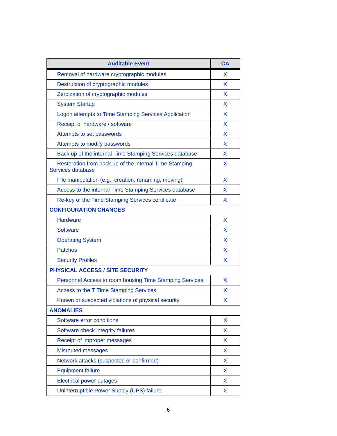| <b>Auditable Event</b>                                                      | <b>CA</b> |
|-----------------------------------------------------------------------------|-----------|
| Removal of hardware cryptographic modules                                   | X         |
| Destruction of cryptographic modules                                        | X.        |
| Zeroization of cryptographic modules                                        | X         |
| <b>System Startup</b>                                                       | X         |
| Logon attempts to Time Stamping Services Application                        | X         |
| Receipt of hardware / software                                              | X.        |
| Attempts to set passwords                                                   | X         |
| Attempts to modify passwords                                                | X.        |
| Back up of the internal Time Stamping Services database                     | X         |
| Restoration from back up of the internal Time Stamping<br>Services database | X.        |
| File manipulation (e.g., creation, renaming, moving)                        | X         |
| Access to the internal Time Stamping Services database                      | X         |
| Re-key of the Time Stamping Services certificate                            | X         |
| <b>CONFIGURATION CHANGES</b>                                                |           |
| <b>Hardware</b>                                                             | X         |
| <b>Software</b>                                                             | X         |
| <b>Operating System</b>                                                     | X         |
| <b>Patches</b>                                                              | X         |
| <b>Security Profiles</b>                                                    | X         |
| PHYSICAL ACCESS / SITE SECURITY                                             |           |
| Personnel Access to room housing Time Stamping Services                     | X         |
| Access to the T Time Stamping Services                                      | X         |
| Known or suspected violations of physical security                          | X         |
| <b>ANOMALIES</b>                                                            |           |
| Software error conditions                                                   | X         |
| Software check integrity failures                                           | X         |
| Receipt of improper messages                                                | X         |
| <b>Misrouted messages</b>                                                   | X         |
| Network attacks (suspected or confirmed)                                    | X         |
| <b>Equipment failure</b>                                                    | X         |
| <b>Electrical power outages</b>                                             | X         |
| Uninterruptible Power Supply (UPS) failure                                  | X         |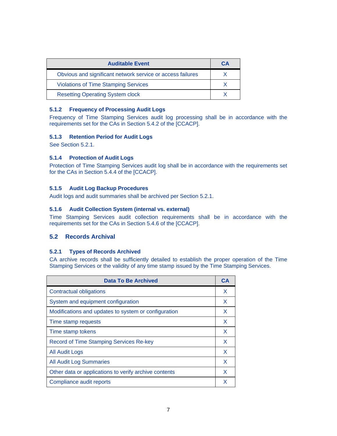| <b>Auditable Event</b>                                     | CА |
|------------------------------------------------------------|----|
| Obvious and significant network service or access failures |    |
| <b>Violations of Time Stamping Services</b>                |    |
| <b>Resetting Operating System clock</b>                    |    |

## **5.1.2 Frequency of Processing Audit Logs**

Frequency of Time Stamping Services audit log processing shall be in accordance with the requirements set for the CAs in Section 5.4.2 of the [CCACP].

## **5.1.3 Retention Period for Audit Logs**

See Section 5.2.1.

## **5.1.4 Protection of Audit Logs**

Protection of Time Stamping Services audit log shall be in accordance with the requirements set for the CAs in Section 5.4.4 of the [CCACP].

## **5.1.5 Audit Log Backup Procedures**

Audit logs and audit summaries shall be archived per Section 5.2.1.

### **5.1.6 Audit Collection System (internal vs. external)**

Time Stamping Services audit collection requirements shall be in accordance with the requirements set for the CAs in Section 5.4.6 of the [CCACP].

## **5.2 Records Archival**

### **5.2.1 Types of Records Archived**

CA archive records shall be sufficiently detailed to establish the proper operation of the Time Stamping Services or the validity of any time stamp issued by the Time Stamping Services.

| <b>Data To Be Archived</b>                            | C.I |
|-------------------------------------------------------|-----|
| <b>Contractual obligations</b>                        | X   |
| System and equipment configuration                    | X   |
| Modifications and updates to system or configuration  | X   |
| Time stamp requests                                   | X   |
| Time stamp tokens                                     | X   |
| <b>Record of Time Stamping Services Re-key</b>        | X   |
| All Audit Logs                                        | X   |
| <b>All Audit Log Summaries</b>                        | X   |
| Other data or applications to verify archive contents | X   |
| Compliance audit reports                              |     |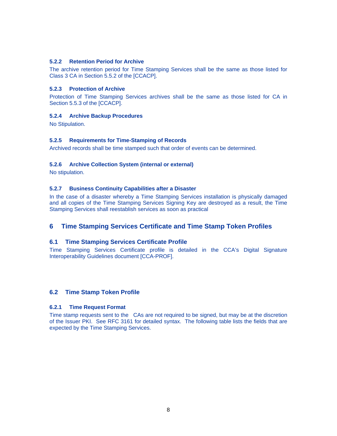## **5.2.2 Retention Period for Archive**

The archive retention period for Time Stamping Services shall be the same as those listed for Class 3 CA in Section 5.5.2 of the [CCACP].

### **5.2.3 Protection of Archive**

Protection of Time Stamping Services archives shall be the same as those listed for CA in Section 5.5.3 of the [CCACP].

### **5.2.4 Archive Backup Procedures**

No Stipulation.

### **5.2.5 Requirements for Time-Stamping of Records**

Archived records shall be time stamped such that order of events can be determined.

#### **5.2.6 Archive Collection System (internal or external)**

No stipulation.

#### **5.2.7 Business Continuity Capabilities after a Disaster**

In the case of a disaster whereby a Time Stamping Services installation is physically damaged and all copies of the Time Stamping Services Signing Key are destroyed as a result, the Time Stamping Services shall reestablish services as soon as practical

## **6 Time Stamping Services Certificate and Time Stamp Token Profiles**

## **6.1 Time Stamping Services Certificate Profile**

Time Stamping Services Certificate profile is detailed in the CCA's Digital Signature Interoperability Guidelines document [CCA-PROF].

### **6.2 Time Stamp Token Profile**

#### **6.2.1 Time Request Format**

Time stamp requests sent to the CAs are not required to be signed, but may be at the discretion of the Issuer PKI. See RFC 3161 for detailed syntax. The following table lists the fields that are expected by the Time Stamping Services.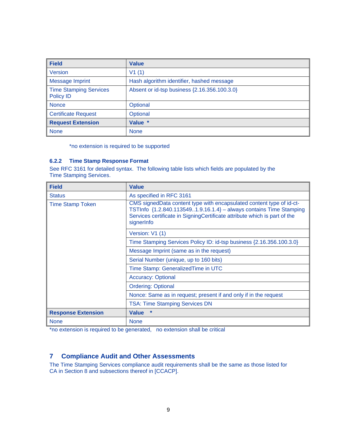| <b>Field</b>                               | <b>Value</b>                                 |
|--------------------------------------------|----------------------------------------------|
| <b>Version</b>                             | V1(1)                                        |
| <b>Message Imprint</b>                     | Hash algorithm identifier, hashed message    |
| <b>Time Stamping Services</b><br>Policy ID | Absent or id-tsp business {2.16.356.100.3.0} |
| <b>Nonce</b>                               | Optional                                     |
| <b>Certificate Request</b>                 | Optional                                     |
| <b>Request Extension</b>                   | Value *                                      |
| <b>None</b>                                | <b>None</b>                                  |

\*no extension is required to be supported

## **6.2.2 Time Stamp Response Format**

See RFC 3161 for detailed syntax. The following table lists which fields are populated by the Time Stamping Services.

| <b>Field</b>              | <b>Value</b>                                                                                                                                                                                                                          |
|---------------------------|---------------------------------------------------------------------------------------------------------------------------------------------------------------------------------------------------------------------------------------|
| <b>Status</b>             | As specified in RFC 3161                                                                                                                                                                                                              |
| <b>Time Stamp Token</b>   | CMS signedData content type with encapsulated content type of id-ct-<br>TSTInfo {1.2.840.1135491.9.16.1.4} - always contains Time Stamping<br>Services certificate in SigningCertificate attribute which is part of the<br>signerInfo |
|                           | Version: V1 (1)                                                                                                                                                                                                                       |
|                           | Time Stamping Services Policy ID: id-tsp business {2.16.356.100.3.0}                                                                                                                                                                  |
|                           | Message Imprint (same as in the request)                                                                                                                                                                                              |
|                           | Serial Number (unique, up to 160 bits)                                                                                                                                                                                                |
|                           | Time Stamp: Generalized Time in UTC                                                                                                                                                                                                   |
|                           | <b>Accuracy: Optional</b>                                                                                                                                                                                                             |
|                           | <b>Ordering: Optional</b>                                                                                                                                                                                                             |
|                           | Nonce: Same as in request; present if and only if in the request                                                                                                                                                                      |
|                           | <b>TSA: Time Stamping Services DN</b>                                                                                                                                                                                                 |
| <b>Response Extension</b> | $\ast$<br><b>Value</b>                                                                                                                                                                                                                |
| <b>None</b>               | <b>None</b>                                                                                                                                                                                                                           |

\*no extension is required to be generated, no extension shall be critical

## **7 Compliance Audit and Other Assessments**

The Time Stamping Services compliance audit requirements shall be the same as those listed for CA in Section 8 and subsections thereof in [CCACP].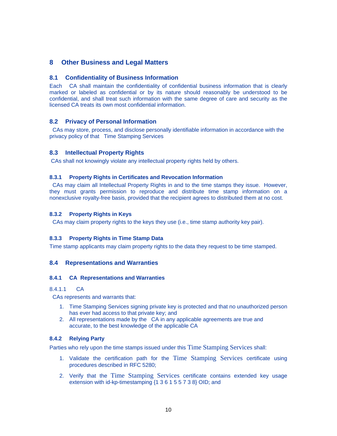## **8 Other Business and Legal Matters**

## **8.1 Confidentiality of Business Information**

Each CA shall maintain the confidentiality of confidential business information that is clearly marked or labeled as confidential or by its nature should reasonably be understood to be confidential, and shall treat such information with the same degree of care and security as the licensed CA treats its own most confidential information.

## **8.2 Privacy of Personal Information**

 CAs may store, process, and disclose personally identifiable information in accordance with the privacy policy of that Time Stamping Services

## **8.3 Intellectual Property Rights**

CAs shall not knowingly violate any intellectual property rights held by others.

### **8.3.1 Property Rights in Certificates and Revocation Information**

 CAs may claim all Intellectual Property Rights in and to the time stamps they issue. However, they must grants permission to reproduce and distribute time stamp information on a nonexclusive royalty-free basis, provided that the recipient agrees to distributed them at no cost.

### **8.3.2 Property Rights in Keys**

CAs may claim property rights to the keys they use (i.e., time stamp authority key pair).

### **8.3.3 Property Rights in Time Stamp Data**

Time stamp applicants may claim property rights to the data they request to be time stamped.

### **8.4 Representations and Warranties**

### **8.4.1 CA Representations and Warranties**

### 8.4.1.1 CA

CAs represents and warrants that:

- 1. Time Stamping Services signing private key is protected and that no unauthorized person has ever had access to that private key; and
- 2. All representations made by the CA in any applicable agreements are true and accurate, to the best knowledge of the applicable CA

## **8.4.2 Relying Party**

Parties who rely upon the time stamps issued under this Time Stamping Services shall:

- 1. Validate the certification path for the Time Stamping Services certificate using procedures described in RFC 5280;
- 2. Verify that the Time Stamping Services certificate contains extended key usage extension with id-kp-timestamping {1 3 6 1 5 5 7 3 8} OID; and